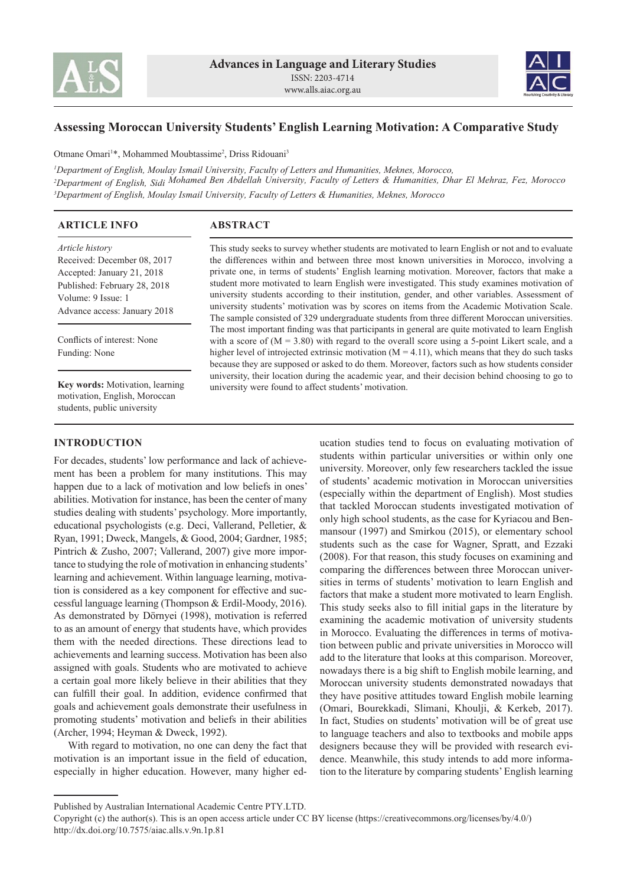



# **Assessing Moroccan University Students' English Learning Motivation: A Comparative Study**

Otmane Omari<sup>1\*</sup>, Mohammed Moubtassime<sup>2</sup>, Driss Ridouani<sup>3</sup>

*<sup>1</sup>Department of English, Moulay Ismail University, Faculty of Letters and Humanities, Meknes, Morocco, <sup>2</sup>Department of English, Sidi Mohamed Ben Abdellah University, Faculty of Letters & Humanities, Dhar El Mehraz, Fez, Morocco <sup>3</sup>Department of English, Moulay Ismail University, Faculty of Letters & Humanities, Meknes, Morocco*

| <b>ARTICLE INFO</b>                                                                                                                                                | <b>ABSTRACT</b>                                                                                                                                                                                                                                                                                                                                                                                                                                                                                                                                                                                                                                                                                  |
|--------------------------------------------------------------------------------------------------------------------------------------------------------------------|--------------------------------------------------------------------------------------------------------------------------------------------------------------------------------------------------------------------------------------------------------------------------------------------------------------------------------------------------------------------------------------------------------------------------------------------------------------------------------------------------------------------------------------------------------------------------------------------------------------------------------------------------------------------------------------------------|
| Article history<br>Received: December 08, 2017<br>Accepted: January 21, 2018<br>Published: February 28, 2018<br>Volume: 9 Issue: 1<br>Advance access: January 2018 | This study seeks to survey whether students are motivated to learn English or not and to evaluate<br>the differences within and between three most known universities in Morocco, involving a<br>private one, in terms of students' English learning motivation. Moreover, factors that make a<br>student more motivated to learn English were investigated. This study examines motivation of<br>university students according to their institution, gender, and other variables. Assessment of<br>university students' motivation was by scores on items from the Academic Motivation Scale.<br>The sample consisted of 329 undergraduate students from three different Moroccan universities. |
| Conflicts of interest: None<br>Funding: None                                                                                                                       | The most important finding was that participants in general are quite motivated to learn English<br>with a score of $(M = 3.80)$ with regard to the overall score using a 5-point Likert scale, and a<br>higher level of introjected extrinsic motivation $(M = 4.11)$ , which means that they do such tasks<br>because they are supposed or asked to do them. Moreover, factors such as how students consider                                                                                                                                                                                                                                                                                   |
| Key words: Motivation, learning<br>motivation, English, Moroccan                                                                                                   | university, their location during the academic year, and their decision behind choosing to go to<br>university were found to affect students' motivation.                                                                                                                                                                                                                                                                                                                                                                                                                                                                                                                                        |

## **INTRODUCTION**

students, public university

For decades, students' low performance and lack of achievement has been a problem for many institutions. This may happen due to a lack of motivation and low beliefs in ones' abilities. Motivation for instance, has been the center of many studies dealing with students' psychology. More importantly, educational psychologists (e.g. Deci, Vallerand, Pelletier, & Ryan, 1991; Dweck, Mangels, & Good, 2004; Gardner, 1985; Pintrich & Zusho, 2007; Vallerand, 2007) give more importance to studying the role of motivation in enhancing students' learning and achievement. Within language learning, motivation is considered as a key component for effective and successful language learning (Thompson & Erdil-Moody, 2016). As demonstrated by Dörnyei (1998), motivation is referred to as an amount of energy that students have, which provides them with the needed directions. These directions lead to achievements and learning success. Motivation has been also assigned with goals. Students who are motivated to achieve a certain goal more likely believe in their abilities that they can fulfill their goal. In addition, evidence confirmed that goals and achievement goals demonstrate their usefulness in promoting students' motivation and beliefs in their abilities (Archer, 1994; Heyman & Dweck, 1992).

With regard to motivation, no one can deny the fact that motivation is an important issue in the field of education, especially in higher education. However, many higher education studies tend to focus on evaluating motivation of students within particular universities or within only one university. Moreover, only few researchers tackled the issue of students' academic motivation in Moroccan universities (especially within the department of English). Most studies that tackled Moroccan students investigated motivation of only high school students, as the case for Kyriacou and Benmansour (1997) and Smirkou (2015), or elementary school students such as the case for Wagner, Spratt, and Ezzaki (2008). For that reason, this study focuses on examining and comparing the differences between three Moroccan universities in terms of students' motivation to learn English and factors that make a student more motivated to learn English. This study seeks also to fill initial gaps in the literature by examining the academic motivation of university students in Morocco. Evaluating the differences in terms of motivation between public and private universities in Morocco will add to the literature that looks at this comparison. Moreover, nowadays there is a big shift to English mobile learning, and Moroccan university students demonstrated nowadays that they have positive attitudes toward English mobile learning (Omari, Bourekkadi, Slimani, Khoulji, & Kerkeb, 2017). In fact, Studies on students' motivation will be of great use to language teachers and also to textbooks and mobile apps designers because they will be provided with research evidence. Meanwhile, this study intends to add more information to the literature by comparing students' English learning

Published by Australian International Academic Centre PTY.LTD.

Copyright (c) the author(s). This is an open access article under CC BY license (https://creativecommons.org/licenses/by/4.0/) http://dx.doi.org/10.7575/aiac.alls.v.9n.1p.81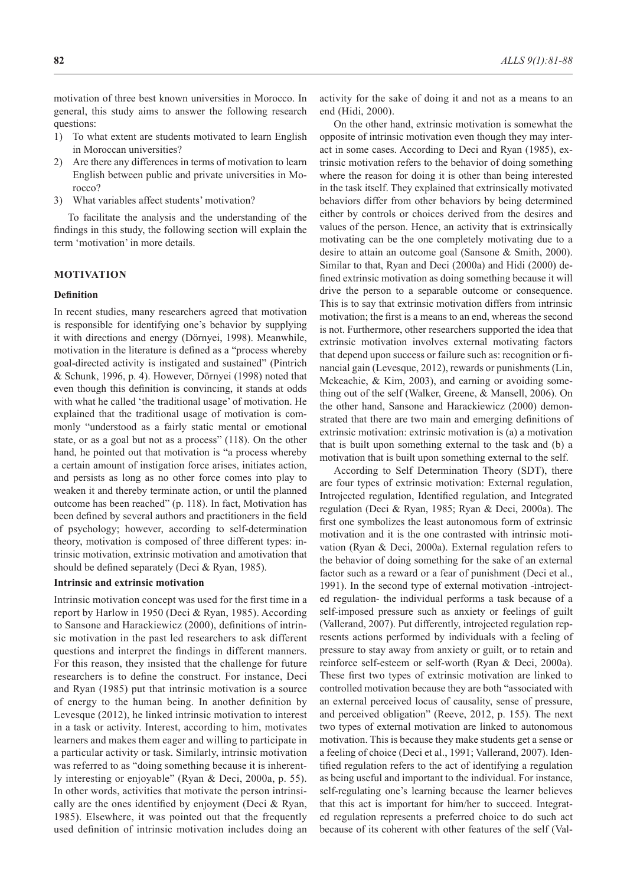motivation of three best known universities in Morocco. In general, this study aims to answer the following research questions:

- 1) To what extent are students motivated to learn English in Moroccan universities?
- 2) Are there any differences in terms of motivation to learn English between public and private universities in Morocco?
- 3) What variables affect students' motivation?

To facilitate the analysis and the understanding of the findings in this study, the following section will explain the term 'motivation' in more details.

### **MOTIVATION**

### **Definition**

In recent studies, many researchers agreed that motivation is responsible for identifying one's behavior by supplying it with directions and energy (Dörnyei, 1998). Meanwhile, motivation in the literature is defined as a "process whereby goal-directed activity is instigated and sustained" (Pintrich & Schunk, 1996, p. 4). However, Dörnyei (1998) noted that even though this definition is convincing, it stands at odds with what he called 'the traditional usage' of motivation. He explained that the traditional usage of motivation is commonly "understood as a fairly static mental or emotional state, or as a goal but not as a process" (118). On the other hand, he pointed out that motivation is "a process whereby a certain amount of instigation force arises, initiates action, and persists as long as no other force comes into play to weaken it and thereby terminate action, or until the planned outcome has been reached" (p. 118). In fact, Motivation has been defined by several authors and practitioners in the field of psychology; however, according to self-determination theory, motivation is composed of three different types: intrinsic motivation, extrinsic motivation and amotivation that should be defined separately (Deci & Ryan, 1985).

#### **Intrinsic and extrinsic motivation**

Intrinsic motivation concept was used for the first time in a report by Harlow in 1950 (Deci & Ryan, 1985). According to Sansone and Harackiewicz (2000), definitions of intrinsic motivation in the past led researchers to ask different questions and interpret the findings in different manners. For this reason, they insisted that the challenge for future researchers is to define the construct. For instance, Deci and Ryan (1985) put that intrinsic motivation is a source of energy to the human being. In another definition by Levesque (2012), he linked intrinsic motivation to interest in a task or activity. Interest, according to him, motivates learners and makes them eager and willing to participate in a particular activity or task. Similarly, intrinsic motivation was referred to as "doing something because it is inherently interesting or enjoyable" (Ryan & Deci, 2000a, p. 55). In other words, activities that motivate the person intrinsically are the ones identified by enjoyment (Deci & Ryan, 1985). Elsewhere, it was pointed out that the frequently used definition of intrinsic motivation includes doing an activity for the sake of doing it and not as a means to an end (Hidi, 2000).

On the other hand, extrinsic motivation is somewhat the opposite of intrinsic motivation even though they may interact in some cases. According to Deci and Ryan (1985), extrinsic motivation refers to the behavior of doing something where the reason for doing it is other than being interested in the task itself. They explained that extrinsically motivated behaviors differ from other behaviors by being determined either by controls or choices derived from the desires and values of the person. Hence, an activity that is extrinsically motivating can be the one completely motivating due to a desire to attain an outcome goal (Sansone & Smith, 2000). Similar to that, Ryan and Deci (2000a) and Hidi (2000) defined extrinsic motivation as doing something because it will drive the person to a separable outcome or consequence. This is to say that extrinsic motivation differs from intrinsic motivation; the first is a means to an end, whereas the second is not. Furthermore, other researchers supported the idea that extrinsic motivation involves external motivating factors that depend upon success or failure such as: recognition or financial gain (Levesque, 2012), rewards or punishments (Lin, Mckeachie, & Kim, 2003), and earning or avoiding something out of the self (Walker, Greene, & Mansell, 2006). On the other hand, Sansone and Harackiewicz (2000) demonstrated that there are two main and emerging definitions of extrinsic motivation: extrinsic motivation is (a) a motivation that is built upon something external to the task and (b) a motivation that is built upon something external to the self.

According to Self Determination Theory (SDT), there are four types of extrinsic motivation: External regulation, Introjected regulation, Identified regulation, and Integrated regulation (Deci & Ryan, 1985; Ryan & Deci, 2000a). The first one symbolizes the least autonomous form of extrinsic motivation and it is the one contrasted with intrinsic motivation (Ryan & Deci, 2000a). External regulation refers to the behavior of doing something for the sake of an external factor such as a reward or a fear of punishment (Deci et al., 1991). In the second type of external motivation -introjected regulation- the individual performs a task because of a self-imposed pressure such as anxiety or feelings of guilt (Vallerand, 2007). Put differently, introjected regulation represents actions performed by individuals with a feeling of pressure to stay away from anxiety or guilt, or to retain and reinforce self-esteem or self-worth (Ryan & Deci, 2000a). These first two types of extrinsic motivation are linked to controlled motivation because they are both "associated with an external perceived locus of causality, sense of pressure, and perceived obligation" (Reeve, 2012, p. 155). The next two types of external motivation are linked to autonomous motivation. This is because they make students get a sense or a feeling of choice (Deci et al., 1991; Vallerand, 2007). Identified regulation refers to the act of identifying a regulation as being useful and important to the individual. For instance, self-regulating one's learning because the learner believes that this act is important for him/her to succeed. Integrated regulation represents a preferred choice to do such act because of its coherent with other features of the self (Val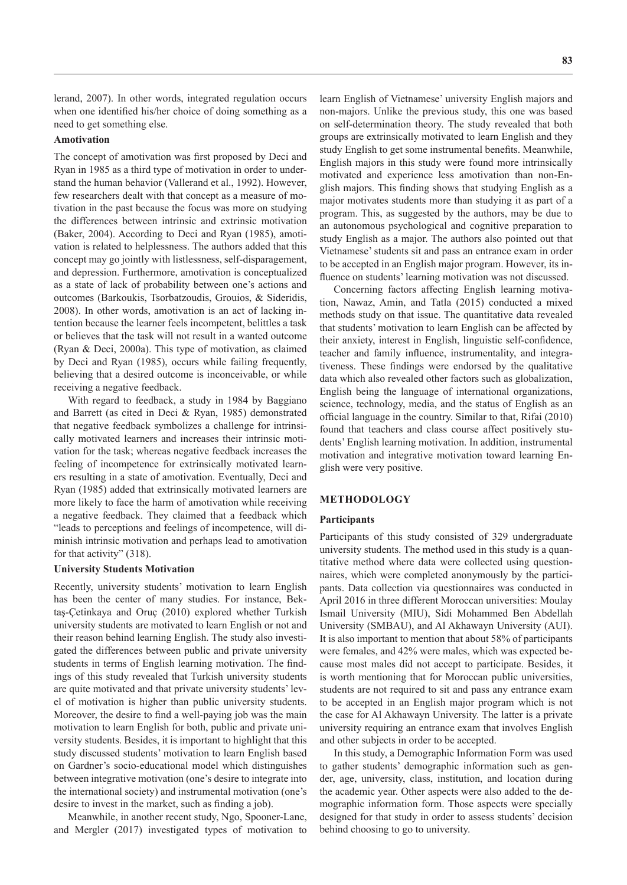lerand, 2007). In other words, integrated regulation occurs when one identified his/her choice of doing something as a need to get something else.

#### **Amotivation**

The concept of amotivation was first proposed by Deci and Ryan in 1985 as a third type of motivation in order to understand the human behavior (Vallerand et al., 1992). However, few researchers dealt with that concept as a measure of motivation in the past because the focus was more on studying the differences between intrinsic and extrinsic motivation (Baker, 2004). According to Deci and Ryan (1985), amotivation is related to helplessness. The authors added that this concept may go jointly with listlessness, self-disparagement, and depression. Furthermore, amotivation is conceptualized as a state of lack of probability between one's actions and outcomes (Barkoukis, Tsorbatzoudis, Grouios, & Sideridis, 2008). In other words, amotivation is an act of lacking intention because the learner feels incompetent, belittles a task or believes that the task will not result in a wanted outcome (Ryan & Deci, 2000a). This type of motivation, as claimed by Deci and Ryan (1985), occurs while failing frequently, believing that a desired outcome is inconceivable, or while receiving a negative feedback.

With regard to feedback, a study in 1984 by Baggiano and Barrett (as cited in Deci & Ryan, 1985) demonstrated that negative feedback symbolizes a challenge for intrinsically motivated learners and increases their intrinsic motivation for the task; whereas negative feedback increases the feeling of incompetence for extrinsically motivated learners resulting in a state of amotivation. Eventually, Deci and Ryan (1985) added that extrinsically motivated learners are more likely to face the harm of amotivation while receiving a negative feedback. They claimed that a feedback which "leads to perceptions and feelings of incompetence, will diminish intrinsic motivation and perhaps lead to amotivation for that activity" (318).

#### **University Students Motivation**

Recently, university students' motivation to learn English has been the center of many studies. For instance, Bektaş-Çetinkaya and Oruç (2010) explored whether Turkish university students are motivated to learn English or not and their reason behind learning English. The study also investigated the differences between public and private university students in terms of English learning motivation. The findings of this study revealed that Turkish university students are quite motivated and that private university students' level of motivation is higher than public university students. Moreover, the desire to find a well-paying job was the main motivation to learn English for both, public and private university students. Besides, it is important to highlight that this study discussed students' motivation to learn English based on Gardner's socio-educational model which distinguishes between integrative motivation (one's desire to integrate into the international society) and instrumental motivation (one's desire to invest in the market, such as finding a job).

Meanwhile, in another recent study, Ngo, Spooner-Lane, and Mergler (2017) investigated types of motivation to learn English of Vietnamese' university English majors and non-majors. Unlike the previous study, this one was based on self-determination theory. The study revealed that both groups are extrinsically motivated to learn English and they study English to get some instrumental benefits. Meanwhile, English majors in this study were found more intrinsically motivated and experience less amotivation than non-English majors. This finding shows that studying English as a major motivates students more than studying it as part of a program. This, as suggested by the authors, may be due to an autonomous psychological and cognitive preparation to study English as a major. The authors also pointed out that Vietnamese' students sit and pass an entrance exam in order to be accepted in an English major program. However, its influence on students' learning motivation was not discussed.

Concerning factors affecting English learning motivation, Nawaz, Amin, and Tatla (2015) conducted a mixed methods study on that issue. The quantitative data revealed that students' motivation to learn English can be affected by their anxiety, interest in English, linguistic self-confidence, teacher and family influence, instrumentality, and integrativeness. These findings were endorsed by the qualitative data which also revealed other factors such as globalization, English being the language of international organizations, science, technology, media, and the status of English as an official language in the country. Similar to that, Rifai (2010) found that teachers and class course affect positively students' English learning motivation. In addition, instrumental motivation and integrative motivation toward learning English were very positive.

## **METHODOLOGY**

#### **Participants**

Participants of this study consisted of 329 undergraduate university students. The method used in this study is a quantitative method where data were collected using questionnaires, which were completed anonymously by the participants. Data collection via questionnaires was conducted in April 2016 in three different Moroccan universities: Moulay Ismail University (MIU), Sidi Mohammed Ben Abdellah University (SMBAU), and Al Akhawayn University (AUI). It is also important to mention that about 58% of participants were females, and 42% were males, which was expected because most males did not accept to participate. Besides, it is worth mentioning that for Moroccan public universities, students are not required to sit and pass any entrance exam to be accepted in an English major program which is not the case for Al Akhawayn University. The latter is a private university requiring an entrance exam that involves English and other subjects in order to be accepted.

In this study, a Demographic Information Form was used to gather students' demographic information such as gender, age, university, class, institution, and location during the academic year. Other aspects were also added to the demographic information form. Those aspects were specially designed for that study in order to assess students' decision behind choosing to go to university.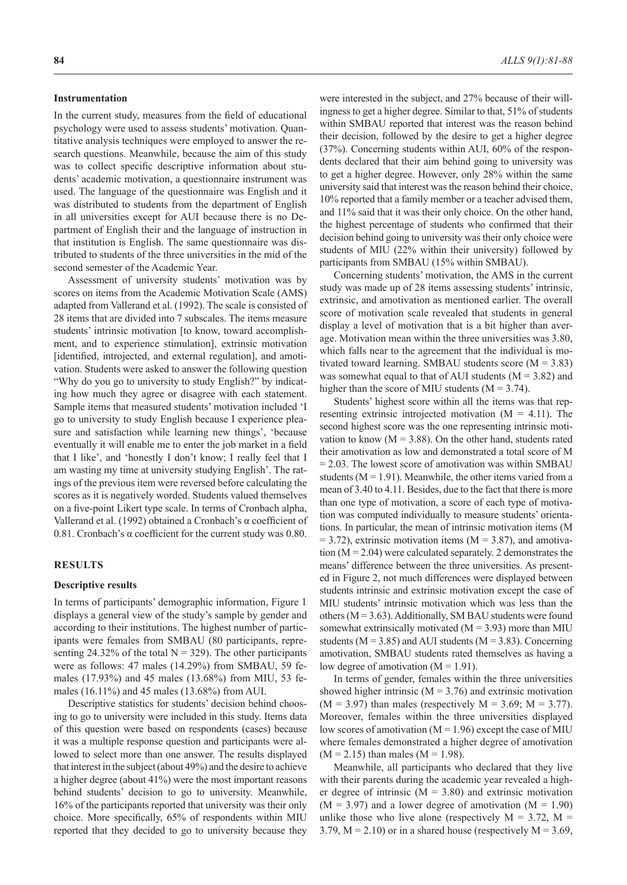#### **Instrumentation**

In the current study, measures from the field of educational psychology were used to assess students' motivation. Quantitative analysis techniques were employed to answer the research questions. Meanwhile, because the aim of this study was to collect specific descriptive information about students' academic motivation, a questionnaire instrument was used. The language of the questionnaire was English and it was distributed to students from the department of English in all universities except for AUI because there is no Department of English their and the language of instruction in that institution is English. The same questionnaire was distributed to students of the three universities in the mid of the second semester of the Academic Year.

Assessment of university students' motivation was by scores on items from the Academic Motivation Scale (AMS) adapted from Vallerand et al. (1992). The scale is consisted of 28 items that are divided into 7 subscales. The items measure students' intrinsic motivation [to know, toward accomplishment, and to experience stimulation], extrinsic motivation [identified, introjected, and external regulation], and amotivation. Students were asked to answer the following question "Why do you go to university to study English?" by indicating how much they agree or disagree with each statement. Sample items that measured students' motivation included 'I go to university to study English because I experience pleasure and satisfaction while learning new things', 'because eventually it will enable me to enter the job market in a field that I like', and 'honestly I don't know; I really feel that I am wasting my time at university studying English'. The ratings of the previous item were reversed before calculating the scores as it is negatively worded. Students valued themselves on a five-point Likert type scale. In terms of Cronbach alpha, Vallerand et al. (1992) obtained a Cronbach's α coefficient of 0.81. Cronbach's α coefficient for the current study was 0.80.

#### **RESULTS**

#### **Descriptive results**

In terms of participants' demographic information, Figure 1 displays a general view of the study's sample by gender and according to their institutions. The highest number of participants were females from SMBAU (80 participants, representing 24.32% of the total  $N = 329$ ). The other participants were as follows: 47 males (14.29%) from SMBAU, 59 females (17.93%) and 45 males (13.68%) from MIU, 53 females (16.11%) and 45 males (13.68%) from AUI.

Descriptive statistics for students' decision behind choosing to go to university were included in this study. Items data of this question were based on respondents (cases) because it was a multiple response question and participants were allowed to select more than one answer. The results displayed that interest in the subject (about 49%) and the desire to achieve a higher degree (about 41%) were the most important reasons behind students' decision to go to university. Meanwhile, 16% of the participants reported that university was their only choice. More specifically, 65% of respondents within MIU reported that they decided to go to university because they

were interested in the subject, and 27% because of their willingness to get a higher degree. Similar to that, 51% of students within SMBAU reported that interest was the reason behind their decision, followed by the desire to get a higher degree (37%). Concerning students within AUI, 60% of the respondents declared that their aim behind going to university was to get a higher degree. However, only 28% within the same university said that interest was the reason behind their choice, 10% reported that a family member or a teacher advised them, and 11% said that it was their only choice. On the other hand, the highest percentage of students who confirmed that their decision behind going to university was their only choice were students of MIU (22% within their university) followed by participants from SMBAU (15% within SMBAU).

Concerning students' motivation, the AMS in the current study was made up of 28 items assessing students' intrinsic, extrinsic, and amotivation as mentioned earlier. The overall score of motivation scale revealed that students in general display a level of motivation that is a bit higher than average. Motivation mean within the three universities was 3.80, which falls near to the agreement that the individual is motivated toward learning. SMBAU students score  $(M = 3.83)$ was somewhat equal to that of AUI students  $(M = 3.82)$  and higher than the score of MIU students ( $M = 3.74$ ).

Students' highest score within all the items was that representing extrinsic introjected motivation  $(M = 4.11)$ . The second highest score was the one representing intrinsic motivation to know  $(M = 3.88)$ . On the other hand, students rated their amotivation as low and demonstrated a total score of M = 2.03. The lowest score of amotivation was within SMBAU students ( $M = 1.91$ ). Meanwhile, the other items varied from a mean of 3.40 to 4.11. Besides, due to the fact that there is more than one type of motivation, a score of each type of motivation was computed individually to measure students' orientations. In particular, the mean of intrinsic motivation items (M  $= 3.72$ ), extrinsic motivation items (M  $= 3.87$ ), and amotivation  $(M = 2.04)$  were calculated separately. 2 demonstrates the means' difference between the three universities. As presented in Figure 2, not much differences were displayed between students intrinsic and extrinsic motivation except the case of MIU students' intrinsic motivation which was less than the others ( $M = 3.63$ ). Additionally, SM BAU students were found somewhat extrinsically motivated  $(M = 3.93)$  more than MIU students ( $M = 3.85$ ) and AUI students ( $M = 3.83$ ). Concerning amotivation, SMBAU students rated themselves as having a low degree of amotivation  $(M = 1.91)$ .

In terms of gender, females within the three universities showed higher intrinsic  $(M = 3.76)$  and extrinsic motivation  $(M = 3.97)$  than males (respectively  $M = 3.69$ ;  $M = 3.77$ ). Moreover, females within the three universities displayed low scores of amotivation ( $M = 1.96$ ) except the case of MIU where females demonstrated a higher degree of amotivation  $(M = 2.15)$  than males  $(M = 1.98)$ .

Meanwhile, all participants who declared that they live with their parents during the academic year revealed a higher degree of intrinsic  $(M = 3.80)$  and extrinsic motivation  $(M = 3.97)$  and a lower degree of amotivation  $(M = 1.90)$ unlike those who live alone (respectively  $M = 3.72$ ,  $M =$ 3.79,  $M = 2.10$ ) or in a shared house (respectively  $M = 3.69$ ,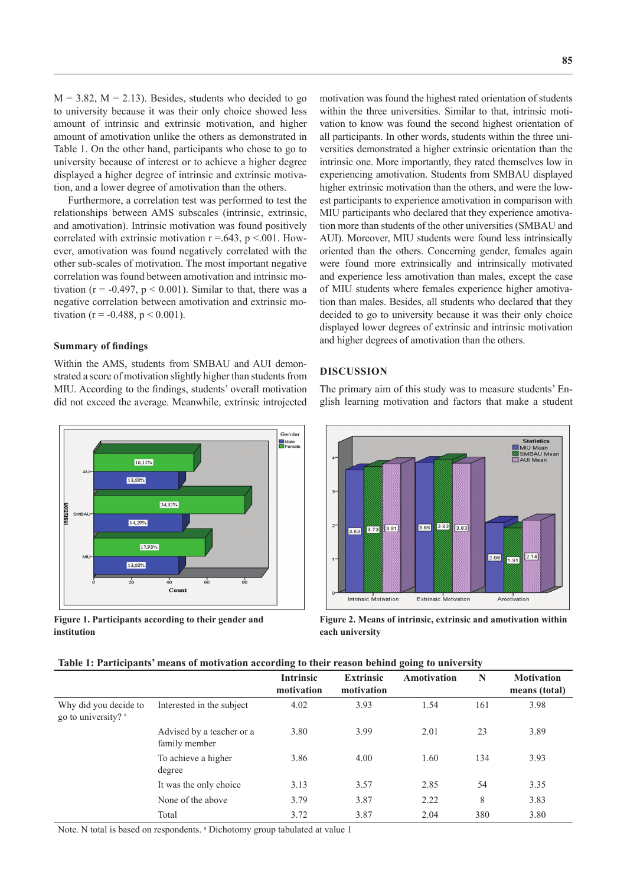$M = 3.82$ ,  $M = 2.13$ ). Besides, students who decided to go to university because it was their only choice showed less amount of intrinsic and extrinsic motivation, and higher amount of amotivation unlike the others as demonstrated in Table 1. On the other hand, participants who chose to go to university because of interest or to achieve a higher degree displayed a higher degree of intrinsic and extrinsic motivation, and a lower degree of amotivation than the others.

Furthermore, a correlation test was performed to test the relationships between AMS subscales (intrinsic, extrinsic, and amotivation). Intrinsic motivation was found positively correlated with extrinsic motivation  $r = .643$ ,  $p < .001$ . However, amotivation was found negatively correlated with the other sub-scales of motivation. The most important negative correlation was found between amotivation and intrinsic motivation ( $r = -0.497$ ,  $p < 0.001$ ). Similar to that, there was a negative correlation between amotivation and extrinsic motivation (r = -0.488, p < 0.001).

### **Summary of findings**

Within the AMS, students from SMBAU and AUI demonstrated a score of motivation slightly higher than students from MIU. According to the findings, students' overall motivation did not exceed the average. Meanwhile, extrinsic introjected



**Figure 1. Participants according to their gender and institution**

motivation was found the highest rated orientation of students within the three universities. Similar to that, intrinsic motivation to know was found the second highest orientation of all participants. In other words, students within the three universities demonstrated a higher extrinsic orientation than the intrinsic one. More importantly, they rated themselves low in experiencing amotivation. Students from SMBAU displayed higher extrinsic motivation than the others, and were the lowest participants to experience amotivation in comparison with MIU participants who declared that they experience amotivation more than students of the other universities (SMBAU and AUI). Moreover, MIU students were found less intrinsically oriented than the others. Concerning gender, females again were found more extrinsically and intrinsically motivated and experience less amotivation than males, except the case of MIU students where females experience higher amotivation than males. Besides, all students who declared that they decided to go to university because it was their only choice displayed lower degrees of extrinsic and intrinsic motivation and higher degrees of amotivation than the others.

#### **DISCUSSION**

The primary aim of this study was to measure students' English learning motivation and factors that make a student



**Figure 2. Means of intrinsic, extrinsic and amotivation within each university**

| Table 1: Participants' means of motivation according to their reason behind going to university |  |  |  |
|-------------------------------------------------------------------------------------------------|--|--|--|
|                                                                                                 |  |  |  |

|                                              |                                            | <b>Intrinsic</b><br>motivation | <b>Extrinsic</b><br>motivation | Amotivation | N   | <b>Motivation</b><br>means (total) |
|----------------------------------------------|--------------------------------------------|--------------------------------|--------------------------------|-------------|-----|------------------------------------|
| Why did you decide to<br>go to university? a | Interested in the subject                  | 4.02                           | 3.93                           | 1.54        | 161 | 3.98                               |
|                                              | Advised by a teacher or a<br>family member | 3.80                           | 3.99                           | 2.01        | 23  | 3.89                               |
|                                              | To achieve a higher<br>degree              | 3.86                           | 4.00                           | 1.60        | 134 | 3.93                               |
|                                              | It was the only choice                     | 3.13                           | 3.57                           | 2.85        | 54  | 3.35                               |
|                                              | None of the above                          | 3.79                           | 3.87                           | 2.22        | 8   | 3.83                               |
|                                              | Total                                      | 3.72                           | 3.87                           | 2.04        | 380 | 3.80                               |

Note. N total is based on respondents. <sup>a</sup> Dichotomy group tabulated at value 1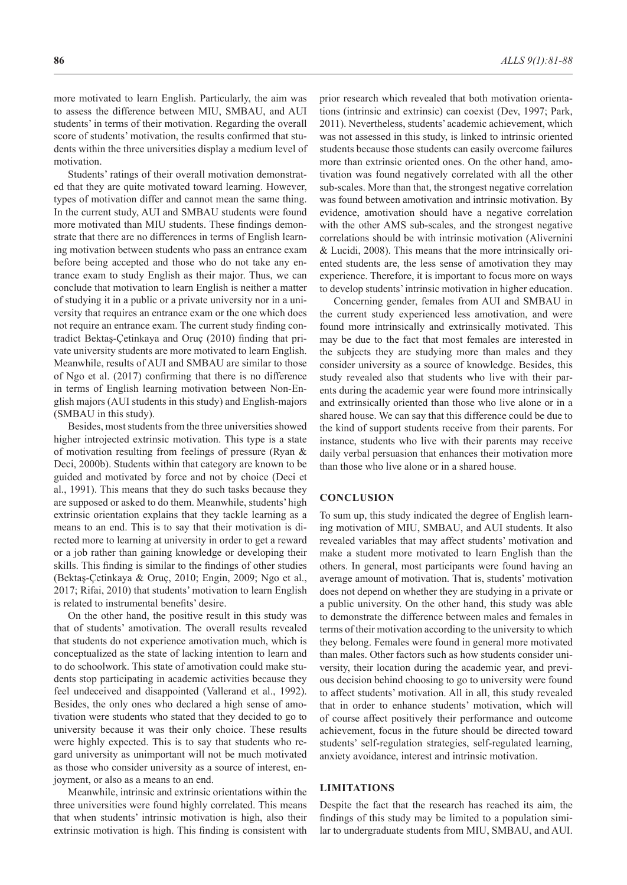more motivated to learn English. Particularly, the aim was to assess the difference between MIU, SMBAU, and AUI students' in terms of their motivation. Regarding the overall score of students' motivation, the results confirmed that students within the three universities display a medium level of motivation.

Students' ratings of their overall motivation demonstrated that they are quite motivated toward learning. However, types of motivation differ and cannot mean the same thing. In the current study, AUI and SMBAU students were found more motivated than MIU students. These findings demonstrate that there are no differences in terms of English learning motivation between students who pass an entrance exam before being accepted and those who do not take any entrance exam to study English as their major. Thus, we can conclude that motivation to learn English is neither a matter of studying it in a public or a private university nor in a university that requires an entrance exam or the one which does not require an entrance exam. The current study finding contradict Bektaş-Çetinkaya and Oruç (2010) finding that private university students are more motivated to learn English. Meanwhile, results of AUI and SMBAU are similar to those of Ngo et al. (2017) confirming that there is no difference in terms of English learning motivation between Non-English majors (AUI students in this study) and English-majors (SMBAU in this study).

Besides, most students from the three universities showed higher introjected extrinsic motivation. This type is a state of motivation resulting from feelings of pressure (Ryan & Deci, 2000b). Students within that category are known to be guided and motivated by force and not by choice (Deci et al., 1991). This means that they do such tasks because they are supposed or asked to do them. Meanwhile, students' high extrinsic orientation explains that they tackle learning as a means to an end. This is to say that their motivation is directed more to learning at university in order to get a reward or a job rather than gaining knowledge or developing their skills. This finding is similar to the findings of other studies (Bektaş-Çetinkaya & Oruç, 2010; Engin, 2009; Ngo et al., 2017; Rifai, 2010) that students' motivation to learn English is related to instrumental benefits' desire.

On the other hand, the positive result in this study was that of students' amotivation. The overall results revealed that students do not experience amotivation much, which is conceptualized as the state of lacking intention to learn and to do schoolwork. This state of amotivation could make students stop participating in academic activities because they feel undeceived and disappointed (Vallerand et al., 1992). Besides, the only ones who declared a high sense of amotivation were students who stated that they decided to go to university because it was their only choice. These results were highly expected. This is to say that students who regard university as unimportant will not be much motivated as those who consider university as a source of interest, enjoyment, or also as a means to an end.

Meanwhile, intrinsic and extrinsic orientations within the three universities were found highly correlated. This means that when students' intrinsic motivation is high, also their extrinsic motivation is high. This finding is consistent with

prior research which revealed that both motivation orientations (intrinsic and extrinsic) can coexist (Dev, 1997; Park, 2011). Nevertheless, students' academic achievement, which was not assessed in this study, is linked to intrinsic oriented students because those students can easily overcome failures more than extrinsic oriented ones. On the other hand, amotivation was found negatively correlated with all the other sub-scales. More than that, the strongest negative correlation was found between amotivation and intrinsic motivation. By evidence, amotivation should have a negative correlation with the other AMS sub-scales, and the strongest negative correlations should be with intrinsic motivation (Alivernini & Lucidi, 2008). This means that the more intrinsically oriented students are, the less sense of amotivation they may experience. Therefore, it is important to focus more on ways to develop students' intrinsic motivation in higher education.

Concerning gender, females from AUI and SMBAU in the current study experienced less amotivation, and were found more intrinsically and extrinsically motivated. This may be due to the fact that most females are interested in the subjects they are studying more than males and they consider university as a source of knowledge. Besides, this study revealed also that students who live with their parents during the academic year were found more intrinsically and extrinsically oriented than those who live alone or in a shared house. We can say that this difference could be due to the kind of support students receive from their parents. For instance, students who live with their parents may receive daily verbal persuasion that enhances their motivation more than those who live alone or in a shared house.

#### **CONCLUSION**

To sum up, this study indicated the degree of English learning motivation of MIU, SMBAU, and AUI students. It also revealed variables that may affect students' motivation and make a student more motivated to learn English than the others. In general, most participants were found having an average amount of motivation. That is, students' motivation does not depend on whether they are studying in a private or a public university. On the other hand, this study was able to demonstrate the difference between males and females in terms of their motivation according to the university to which they belong. Females were found in general more motivated than males. Other factors such as how students consider university, their location during the academic year, and previous decision behind choosing to go to university were found to affect students' motivation. All in all, this study revealed that in order to enhance students' motivation, which will of course affect positively their performance and outcome achievement, focus in the future should be directed toward students' self-regulation strategies, self-regulated learning, anxiety avoidance, interest and intrinsic motivation.

## **LIMITATIONS**

Despite the fact that the research has reached its aim, the findings of this study may be limited to a population similar to undergraduate students from MIU, SMBAU, and AUI.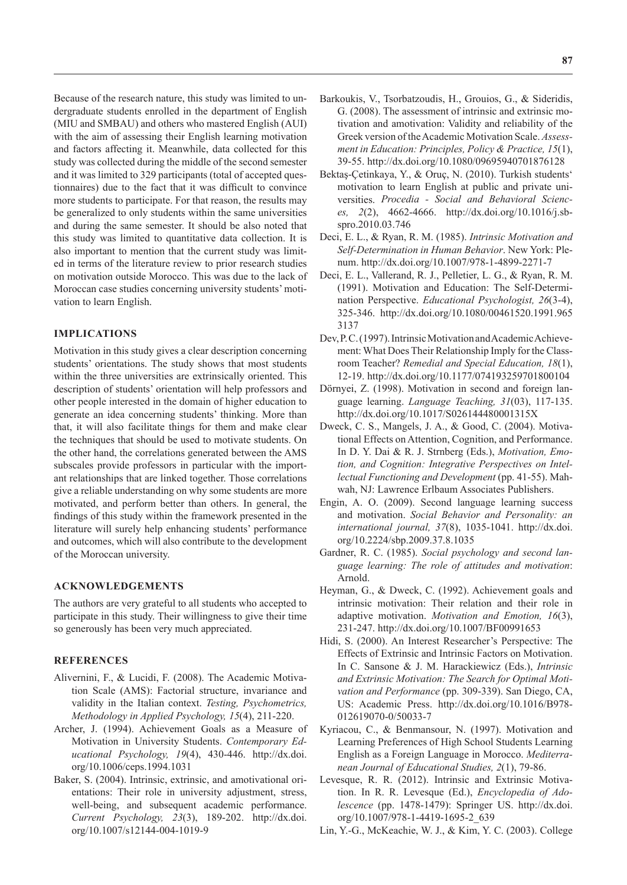Because of the research nature, this study was limited to undergraduate students enrolled in the department of English (MIU and SMBAU) and others who mastered English (AUI) with the aim of assessing their English learning motivation and factors affecting it. Meanwhile, data collected for this study was collected during the middle of the second semester and it was limited to 329 participants (total of accepted questionnaires) due to the fact that it was difficult to convince more students to participate. For that reason, the results may be generalized to only students within the same universities and during the same semester. It should be also noted that this study was limited to quantitative data collection. It is also important to mention that the current study was limited in terms of the literature review to prior research studies on motivation outside Morocco. This was due to the lack of Moroccan case studies concerning university students' motivation to learn English.

### **IMPLICATIONS**

Motivation in this study gives a clear description concerning students' orientations. The study shows that most students within the three universities are extrinsically oriented. This description of students' orientation will help professors and other people interested in the domain of higher education to generate an idea concerning students' thinking. More than that, it will also facilitate things for them and make clear the techniques that should be used to motivate students. On the other hand, the correlations generated between the AMS subscales provide professors in particular with the important relationships that are linked together. Those correlations give a reliable understanding on why some students are more motivated, and perform better than others. In general, the findings of this study within the framework presented in the literature will surely help enhancing students' performance and outcomes, which will also contribute to the development of the Moroccan university.

### **ACKNOWLEDGEMENTS**

The authors are very grateful to all students who accepted to participate in this study. Their willingness to give their time so generously has been very much appreciated.

## **REFERENCES**

- Alivernini, F., & Lucidi, F. (2008). The Academic Motivation Scale (AMS): Factorial structure, invariance and validity in the Italian context. *Testing, Psychometrics, Methodology in Applied Psychology, 15*(4), 211-220.
- Archer, J. (1994). Achievement Goals as a Measure of Motivation in University Students. *Contemporary Educational Psychology, 19*(4), 430-446. http://dx.doi. org/10.1006/ceps.1994.1031
- Baker, S. (2004). Intrinsic, extrinsic, and amotivational orientations: Their role in university adjustment, stress, well-being, and subsequent academic performance. *Current Psychology, 23*(3), 189-202. http://dx.doi. org/10.1007/s12144-004-1019-9
- Barkoukis, V., Tsorbatzoudis, H., Grouios, G., & Sideridis, G. (2008). The assessment of intrinsic and extrinsic motivation and amotivation: Validity and reliability of the Greek version of the Academic Motivation Scale. *Assessment in Education: Principles, Policy & Practice, 15*(1), 39-55. http://dx.doi.org/10.1080/09695940701876128
- Bektaş-Çetinkaya, Y., & Oruç, N. (2010). Turkish students' motivation to learn English at public and private universities. *Procedia - Social and Behavioral Sciences, 2*(2), 4662-4666. http://dx.doi.org/10.1016/j.sbspro.2010.03.746
- Deci, E. L., & Ryan, R. M. (1985). *Intrinsic Motivation and Self-Determination in Human Behavior*. New York: Plenum. http://dx.doi.org/10.1007/978-1-4899-2271-7
- Deci, E. L., Vallerand, R. J., Pelletier, L. G., & Ryan, R. M. (1991). Motivation and Education: The Self-Determination Perspective. *Educational Psychologist, 26*(3-4), 325-346. http://dx.doi.org/10.1080/00461520.1991.965 3137
- Dev, P. C. (1997). Intrinsic Motivation and Academic Achievement: What Does Their Relationship Imply for the Classroom Teacher? *Remedial and Special Education, 18*(1), 12-19. http://dx.doi.org/10.1177/074193259701800104
- Dörnyei, Z. (1998). Motivation in second and foreign language learning. *Language Teaching, 31*(03), 117-135. http://dx.doi.org/10.1017/S026144480001315X
- Dweck, C. S., Mangels, J. A., & Good, C. (2004). Motivational Effects on Attention, Cognition, and Performance. In D. Y. Dai & R. J. Strnberg (Eds.), *Motivation, Emotion, and Cognition: Integrative Perspectives on Intellectual Functioning and Development* (pp. 41-55). Mahwah, NJ: Lawrence Erlbaum Associates Publishers.
- Engin, A. O. (2009). Second language learning success and motivation. *Social Behavior and Personality: an international journal, 37*(8), 1035-1041. http://dx.doi. org/10.2224/sbp.2009.37.8.1035
- Gardner, R. C. (1985). *Social psychology and second language learning: The role of attitudes and motivation*: Arnold.
- Heyman, G., & Dweck, C. (1992). Achievement goals and intrinsic motivation: Their relation and their role in adaptive motivation. *Motivation and Emotion, 16*(3), 231-247. http://dx.doi.org/10.1007/BF00991653
- Hidi, S. (2000). An Interest Researcher's Perspective: The Effects of Extrinsic and Intrinsic Factors on Motivation. In C. Sansone & J. M. Harackiewicz (Eds.), *Intrinsic and Extrinsic Motivation: The Search for Optimal Motivation and Performance* (pp. 309-339). San Diego, CA, US: Academic Press. http://dx.doi.org/10.1016/B978- 012619070-0/50033-7
- Kyriacou, C., & Benmansour, N. (1997). Motivation and Learning Preferences of High School Students Learning English as a Foreign Language in Morocco. *Mediterranean Journal of Educational Studies, 2*(1), 79-86.
- Levesque, R. R. (2012). Intrinsic and Extrinsic Motivation. In R. R. Levesque (Ed.), *Encyclopedia of Adolescence* (pp. 1478-1479): Springer US. http://dx.doi. org/10.1007/978-1-4419-1695-2\_639
- Lin, Y.-G., McKeachie, W. J., & Kim, Y. C. (2003). College